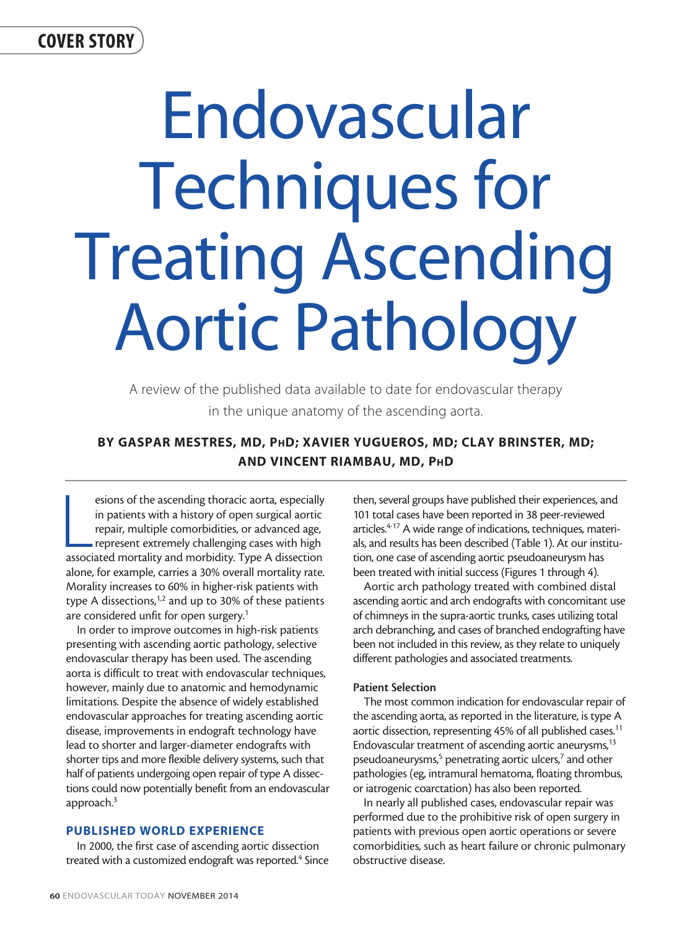## COVER STORY

# Endovascular Techniques for Treating Ascending Aortic Pathology

A review of the published data available to date for endovascular therapy in the unique anatomy of the ascending aorta.

### BY GASPAR MESTRES, MD, PhD; XAVIER YUGUEROS, MD; CLAY BRINSTER, MD; AND VINCENT RIAMBAU, MD, PhD

esions of the ascending thoracic aorta, especially<br>in patients with a history of open surgical aortic<br>repair, multiple comorbidities, or advanced age,<br>represent extremely challenging cases with high<br>associated mortality an esions of the ascending thoracic aorta, especially in patients with a history of open surgical aortic repair, multiple comorbidities, or advanced age, represent extremely challenging cases with high alone, for example, carries a 30% overall mortality rate. Morality increases to 60% in higher-risk patients with type A dissections,<sup>1,2</sup> and up to 30% of these patients are considered unfit for open surgery.<sup>1</sup>

In order to improve outcomes in high-risk patients presenting with ascending aortic pathology, selective endovascular therapy has been used. The ascending aorta is difficult to treat with endovascular techniques, however, mainly due to anatomic and hemodynamic limitations. Despite the absence of widely established endovascular approaches for treating ascending aortic disease, improvements in endograft technology have lead to shorter and larger-diameter endografts with shorter tips and more flexible delivery systems, such that half of patients undergoing open repair of type A dissections could now potentially benefit from an endovascular approach.3

#### PUBLISHED WORLD EXPERIENCE

In 2000, the first case of ascending aortic dissection treated with a customized endograft was reported.<sup>4</sup> Since then, several groups have published their experiences, and 101 total cases have been reported in 38 peer-reviewed articles.<sup>4-17</sup> A wide range of indications, techniques, materials, and results has been described (Table 1). At our institution, one case of ascending aortic pseudoaneurysm has been treated with initial success (Figures 1 through 4).

Aortic arch pathology treated with combined distal ascending aortic and arch endografts with concomitant use of chimneys in the supra-aortic trunks, cases utilizing total arch debranching, and cases of branched endografting have been not included in this review, as they relate to uniquely different pathologies and associated treatments.

#### Patient Selection

The most common indication for endovascular repair of the ascending aorta, as reported in the literature, is type A aortic dissection, representing 45% of all published cases.<sup>11</sup> Endovascular treatment of ascending aortic aneurysms,<sup>13</sup> pseudoaneurysms,<sup>5</sup> penetrating aortic ulcers,<sup>7</sup> and other pathologies (eg, intramural hematoma, floating thrombus, or iatrogenic coarctation) has also been reported.

In nearly all published cases, endovascular repair was performed due to the prohibitive risk of open surgery in patients with previous open aortic operations or severe comorbidities, such as heart failure or chronic pulmonary obstructive disease.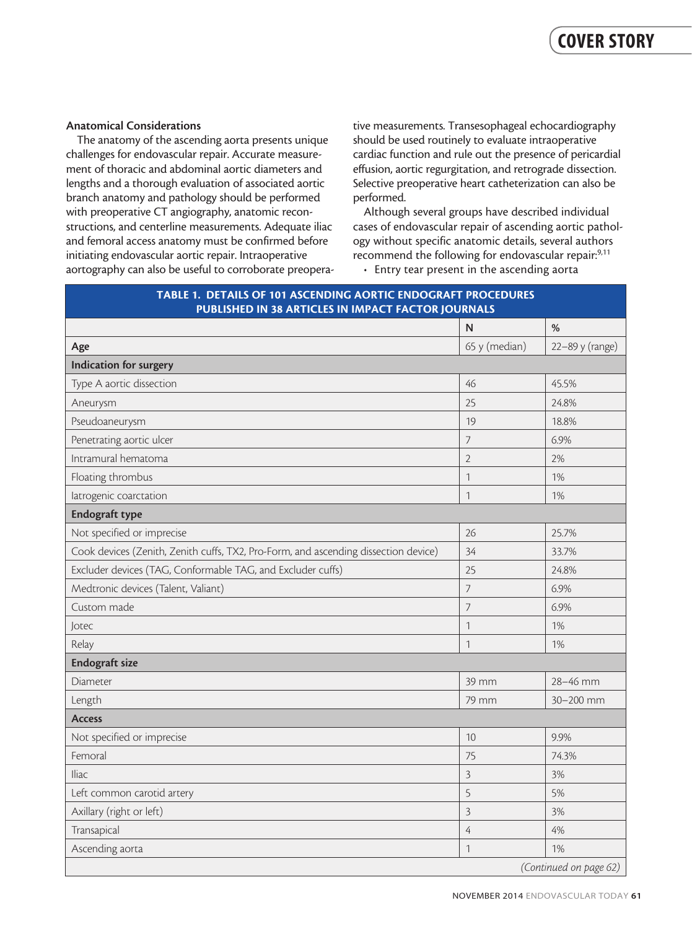#### Anatomical Considerations

The anatomy of the ascending aorta presents unique challenges for endovascular repair. Accurate measurement of thoracic and abdominal aortic diameters and lengths and a thorough evaluation of associated aortic branch anatomy and pathology should be performed with preoperative CT angiography, anatomic reconstructions, and centerline measurements. Adequate iliac and femoral access anatomy must be confirmed before initiating endovascular aortic repair. Intraoperative aortography can also be useful to corroborate preoperative measurements. Transesophageal echocardiography should be used routinely to evaluate intraoperative cardiac function and rule out the presence of pericardial effusion, aortic regurgitation, and retrograde dissection. Selective preoperative heart catheterization can also be performed.

Although several groups have described individual cases of endovascular repair of ascending aortic pathology without specific anatomic details, several authors recommend the following for endovascular repair:<sup>9,11</sup>

• Entry tear present in the ascending aorta

|                                                                                     | N              | %               |
|-------------------------------------------------------------------------------------|----------------|-----------------|
| Age                                                                                 | 65 y (median)  | 22-89 y (range) |
| Indication for surgery                                                              |                |                 |
| Type A aortic dissection                                                            | 46             | 45.5%           |
| Aneurysm                                                                            | 25             | 24.8%           |
| Pseudoaneurysm                                                                      | 19             | 18.8%           |
| Penetrating aortic ulcer                                                            | 7              | 6.9%            |
| Intramural hematoma                                                                 | $\overline{2}$ | 2%              |
| Floating thrombus                                                                   | $\mathbf{1}$   | 1%              |
| latrogenic coarctation                                                              | $\mathbf{1}$   | 1%              |
| Endograft type                                                                      |                |                 |
| Not specified or imprecise                                                          | 26             | 25.7%           |
| Cook devices (Zenith, Zenith cuffs, TX2, Pro-Form, and ascending dissection device) | 34             | 33.7%           |
| Excluder devices (TAG, Conformable TAG, and Excluder cuffs)                         | 25             | 24.8%           |
| Medtronic devices (Talent, Valiant)                                                 | $\overline{J}$ | 6.9%            |
| Custom made                                                                         | 7              | 6.9%            |
| Jotec                                                                               | $\mathbf{1}$   | 1%              |
| Relay                                                                               | $\mathbf{1}$   | 1%              |
| <b>Endograft size</b>                                                               |                |                 |
| Diameter                                                                            | 39 mm          | 28-46 mm        |
| Length                                                                              | 79 mm          | 30-200 mm       |
| <b>Access</b>                                                                       |                |                 |
| Not specified or imprecise                                                          | 10             | 9.9%            |
| Femoral                                                                             | 75             | 74.3%           |
| <b>Iliac</b>                                                                        | 3              | 3%              |
| Left common carotid artery                                                          | 5              | 5%              |
| Axillary (right or left)                                                            | $\overline{3}$ | 3%              |
| Transapical                                                                         | 4              | 4%              |
| Ascending aorta                                                                     | $\mathbf{1}$   | 1%              |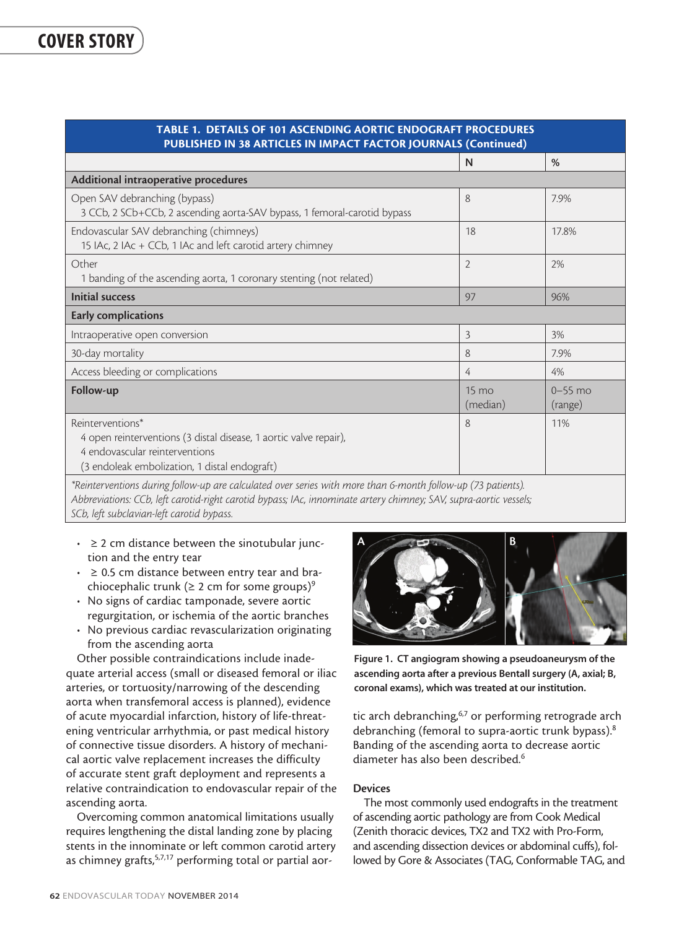| <b>TABLE 1. DETAILS OF 101 ASCENDING AORTIC ENDOGRAFT PROCEDURES</b><br>PUBLISHED IN 38 ARTICLES IN IMPACT FACTOR JOURNALS (Continued)                                   |                             |                        |  |
|--------------------------------------------------------------------------------------------------------------------------------------------------------------------------|-----------------------------|------------------------|--|
|                                                                                                                                                                          | N                           | %                      |  |
| Additional intraoperative procedures                                                                                                                                     |                             |                        |  |
| Open SAV debranching (bypass)<br>3 CCb, 2 SCb+CCb, 2 ascending aorta-SAV bypass, 1 femoral-carotid bypass                                                                | 8                           | 7.9%                   |  |
| Endovascular SAV debranching (chimneys)<br>15 IAc, 2 IAc + CCb, 1 IAc and left carotid artery chimney                                                                    | 18                          | 17.8%                  |  |
| Other<br>1 banding of the ascending aorta, 1 coronary stenting (not related)                                                                                             | $\overline{2}$              | 2%                     |  |
| <b>Initial success</b>                                                                                                                                                   | 97                          | 96%                    |  |
| <b>Early complications</b>                                                                                                                                               |                             |                        |  |
| Intraoperative open conversion                                                                                                                                           | 3                           | 3%                     |  |
| 30-day mortality                                                                                                                                                         | 8                           | 7.9%                   |  |
| Access bleeding or complications                                                                                                                                         | 4                           | 4%                     |  |
| Follow-up                                                                                                                                                                | $15 \text{ mo}$<br>(median) | $0 - 55$ mo<br>(range) |  |
| Reinterventions*<br>4 open reinterventions (3 distal disease, 1 aortic valve repair),<br>4 endovascular reinterventions<br>(3 endoleak embolization, 1 distal endograft) | 8                           | 11%                    |  |

*\*Reinterventions during follow-up are calculated over series with more than 6-month follow-up (73 patients). Abbreviations: CCb, left carotid-right carotid bypass; IAc, innominate artery chimney; SAV, supra-aortic vessels; SCb, left subclavian-left carotid bypass.*

- $\cdot$   $\geq$  2 cm distance between the sinotubular junction and the entry tear
- $\cdot$   $\geq$  0.5 cm distance between entry tear and brachiocephalic trunk ( $\geq 2$  cm for some groups)<sup>9</sup>
- No signs of cardiac tamponade, severe aortic regurgitation, or ischemia of the aortic branches
- No previous cardiac revascularization originating from the ascending aorta

Other possible contraindications include inadequate arterial access (small or diseased femoral or iliac arteries, or tortuosity/narrowing of the descending aorta when transfemoral access is planned), evidence of acute myocardial infarction, history of life-threatening ventricular arrhythmia, or past medical history of connective tissue disorders. A history of mechanical aortic valve replacement increases the difficulty of accurate stent graft deployment and represents a relative contraindication to endovascular repair of the ascending aorta.

Overcoming common anatomical limitations usually requires lengthening the distal landing zone by placing stents in the innominate or left common carotid artery as chimney grafts,<sup>5,7,17</sup> performing total or partial aor-



Figure 1. CT angiogram showing a pseudoaneurysm of the ascending aorta after a previous Bentall surgery (A, axial; B, coronal exams), which was treated at our institution.

tic arch debranching,<sup>6,7</sup> or performing retrograde arch debranching (femoral to supra-aortic trunk bypass).<sup>8</sup> Banding of the ascending aorta to decrease aortic diameter has also been described.6

#### **Devices**

The most commonly used endografts in the treatment of ascending aortic pathology are from Cook Medical (Zenith thoracic devices, TX2 and TX2 with Pro-Form, and ascending dissection devices or abdominal cuffs), followed by Gore & Associates (TAG, Conformable TAG, and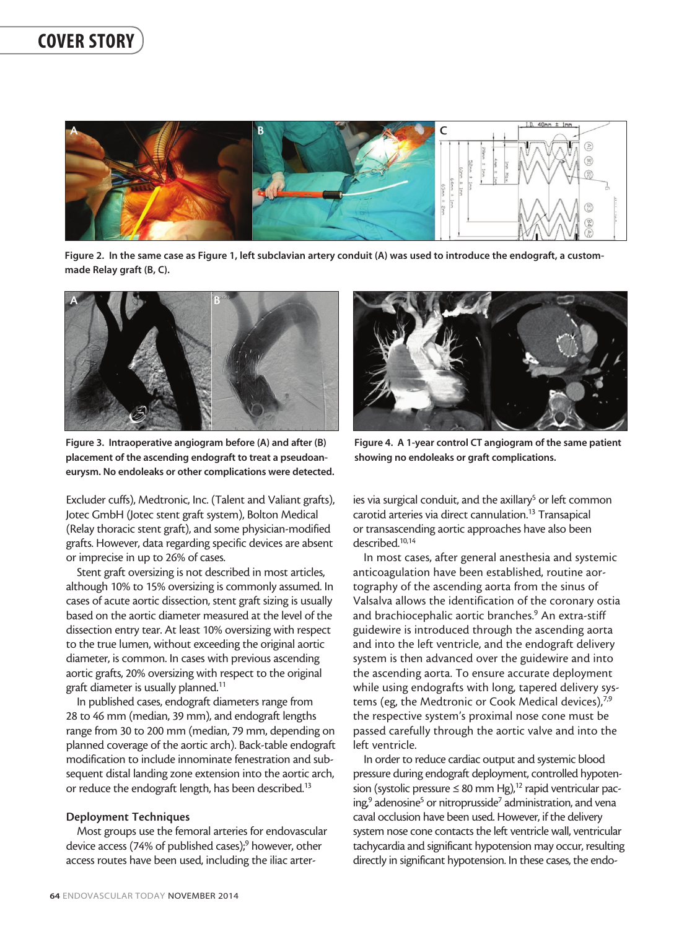

Figure 2. In the same case as Figure 1, left subclavian artery conduit (A) was used to introduce the endograft, a custommade Relay graft (B, C).



Figure 3. Intraoperative angiogram before (A) and after (B) placement of the ascending endograft to treat a pseudoaneurysm. No endoleaks or other complications were detected.

Excluder cuffs), Medtronic, Inc. (Talent and Valiant grafts), Jotec GmbH (Jotec stent graft system), Bolton Medical (Relay thoracic stent graft), and some physician-modified grafts. However, data regarding specific devices are absent or imprecise in up to 26% of cases.

Stent graft oversizing is not described in most articles, although 10% to 15% oversizing is commonly assumed. In cases of acute aortic dissection, stent graft sizing is usually based on the aortic diameter measured at the level of the dissection entry tear. At least 10% oversizing with respect to the true lumen, without exceeding the original aortic diameter, is common. In cases with previous ascending aortic grafts, 20% oversizing with respect to the original graft diameter is usually planned.11

In published cases, endograft diameters range from 28 to 46 mm (median, 39 mm), and endograft lengths range from 30 to 200 mm (median, 79 mm, depending on planned coverage of the aortic arch). Back-table endograft modification to include innominate fenestration and subsequent distal landing zone extension into the aortic arch, or reduce the endograft length, has been described.<sup>13</sup>

#### Deployment Techniques

Most groups use the femoral arteries for endovascular device access (74% of published cases);<sup>9</sup> however, other access routes have been used, including the iliac arter-



Figure 4. A 1-year control CT angiogram of the same patient showing no endoleaks or graft complications.

ies via surgical conduit, and the axillary<sup>5</sup> or left common carotid arteries via direct cannulation.<sup>13</sup> Transapical or transascending aortic approaches have also been described.10,14

In most cases, after general anesthesia and systemic anticoagulation have been established, routine aortography of the ascending aorta from the sinus of Valsalva allows the identification of the coronary ostia and brachiocephalic aortic branches.<sup>9</sup> An extra-stiff guidewire is introduced through the ascending aorta and into the left ventricle, and the endograft delivery system is then advanced over the guidewire and into the ascending aorta. To ensure accurate deployment while using endografts with long, tapered delivery systems (eg, the Medtronic or Cook Medical devices),<sup>7,9</sup> the respective system's proximal nose cone must be passed carefully through the aortic valve and into the left ventricle.

In order to reduce cardiac output and systemic blood pressure during endograft deployment, controlled hypotension (systolic pressure  $\leq 80$  mm Hg),<sup>12</sup> rapid ventricular pacing,<sup>9</sup> adenosine<sup>5</sup> or nitroprusside<sup>7</sup> administration, and vena caval occlusion have been used. However, if the delivery system nose cone contacts the left ventricle wall, ventricular tachycardia and significant hypotension may occur, resulting directly in significant hypotension. In these cases, the endo